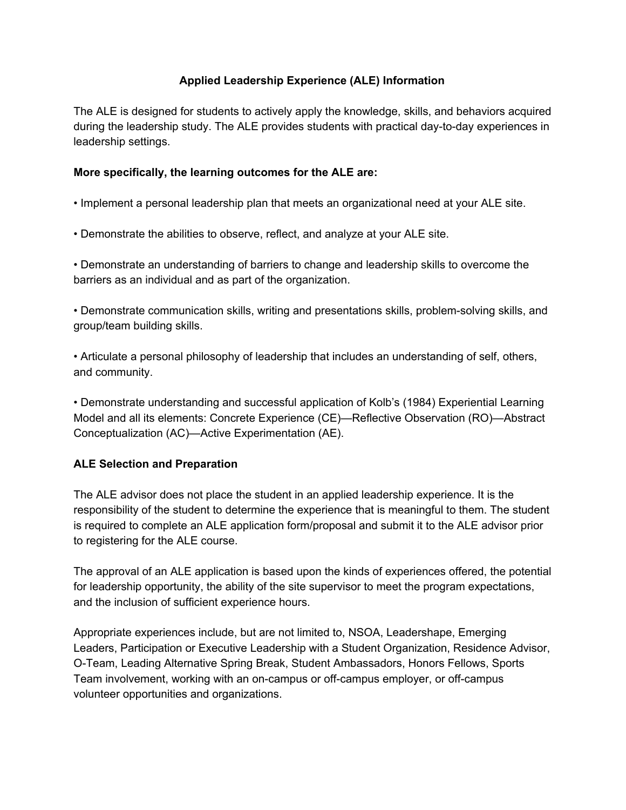# **Applied Leadership Experience (ALE) Information**

The ALE is designed for students to actively apply the knowledge, skills, and behaviors acquired during the leadership study. The ALE provides students with practical day-to-day experiences in leadership settings.

### **More specifically, the learning outcomes for the ALE are:**

- Implement a personal leadership plan that meets an organizational need at your ALE site.
- Demonstrate the abilities to observe, reflect, and analyze at your ALE site.

• Demonstrate an understanding of barriers to change and leadership skills to overcome the barriers as an individual and as part of the organization.

• Demonstrate communication skills, writing and presentations skills, problem-solving skills, and group/team building skills.

• Articulate a personal philosophy of leadership that includes an understanding of self, others, and community.

• Demonstrate understanding and successful application of Kolb's (1984) Experiential Learning Model and all its elements: Concrete Experience (CE)—Reflective Observation (RO)—Abstract Conceptualization (AC)—Active Experimentation (AE).

# **ALE Selection and Preparation**

The ALE advisor does not place the student in an applied leadership experience. It is the responsibility of the student to determine the experience that is meaningful to them. The student is required to complete an ALE application form/proposal and submit it to the ALE advisor prior to registering for the ALE course.

The approval of an ALE application is based upon the kinds of experiences offered, the potential for leadership opportunity, the ability of the site supervisor to meet the program expectations, and the inclusion of sufficient experience hours.

Appropriate experiences include, but are not limited to, NSOA, Leadershape, Emerging Leaders, Participation or Executive Leadership with a Student Organization, Residence Advisor, O-Team, Leading Alternative Spring Break, Student Ambassadors, Honors Fellows, Sports Team involvement, working with an on-campus or off-campus employer, or off-campus volunteer opportunities and organizations.